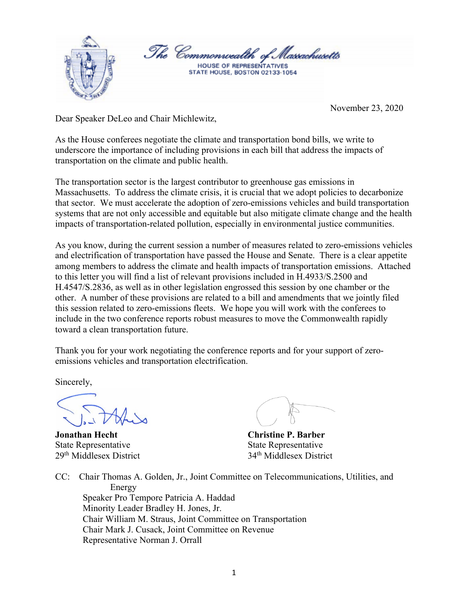

November 23, 2020

Dear Speaker DeLeo and Chair Michlewitz,

As the House conferees negotiate the climate and transportation bond bills, we write to underscore the importance of including provisions in each bill that address the impacts of transportation on the climate and public health.

The transportation sector is the largest contributor to greenhouse gas emissions in Massachusetts. To address the climate crisis, it is crucial that we adopt policies to decarbonize that sector. We must accelerate the adoption of zero-emissions vehicles and build transportation systems that are not only accessible and equitable but also mitigate climate change and the health impacts of transportation-related pollution, especially in environmental justice communities.

As you know, during the current session a number of measures related to zero-emissions vehicles and electrification of transportation have passed the House and Senate. There is a clear appetite among members to address the climate and health impacts of transportation emissions. Attached to this letter you will find a list of relevant provisions included in H.4933/S.2500 and H.4547/S.2836, as well as in other legislation engrossed this session by one chamber or the other. A number of these provisions are related to a bill and amendments that we jointly filed this session related to zero-emissions fleets. We hope you will work with the conferees to include in the two conference reports robust measures to move the Commonwealth rapidly toward a clean transportation future.

Thank you for your work negotiating the conference reports and for your support of zeroemissions vehicles and transportation electrification.

Sincerely,

**Jonathan Hecht Christine P. Barber** State Representative State Representative

29th Middlesex District 34th Middlesex District

CC: Chair Thomas A. Golden, Jr., Joint Committee on Telecommunications, Utilities, and Energy Speaker Pro Tempore Patricia A. Haddad Minority Leader Bradley H. Jones, Jr. Chair William M. Straus, Joint Committee on Transportation Chair Mark J. Cusack, Joint Committee on Revenue Representative Norman J. Orrall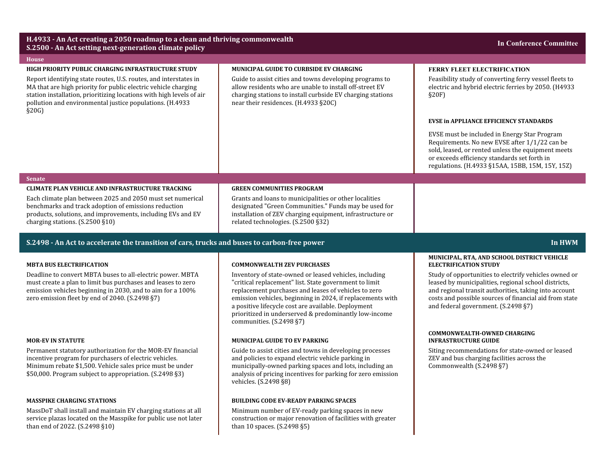| H.4933 - An Act creating a 2050 roadmap to a clean and thriving commonwealth<br>S.2500 - An Act setting next-generation climate policy                                                                                                                                          |                                                                                                                                                                                                                                                                                                                                                                                    | <b>In Conference Committee</b>                                                                                                                                                                                                                                          |
|---------------------------------------------------------------------------------------------------------------------------------------------------------------------------------------------------------------------------------------------------------------------------------|------------------------------------------------------------------------------------------------------------------------------------------------------------------------------------------------------------------------------------------------------------------------------------------------------------------------------------------------------------------------------------|-------------------------------------------------------------------------------------------------------------------------------------------------------------------------------------------------------------------------------------------------------------------------|
| <b>House</b>                                                                                                                                                                                                                                                                    |                                                                                                                                                                                                                                                                                                                                                                                    |                                                                                                                                                                                                                                                                         |
| HIGH PRIORITY PUBLIC CHARGING INFRASTRUCTURE STUDY                                                                                                                                                                                                                              | <b>MUNICIPAL GUIDE TO CURBSIDE EV CHARGING</b>                                                                                                                                                                                                                                                                                                                                     | <b>FERRY FLEET ELECTRIFICATION</b>                                                                                                                                                                                                                                      |
| Report identifying state routes, U.S. routes, and interstates in<br>MA that are high priority for public electric vehicle charging<br>station installation, prioritizing locations with high levels of air<br>pollution and environmental justice populations. (H.4933<br>§20G  | Guide to assist cities and towns developing programs to<br>allow residents who are unable to install off-street EV<br>charging stations to install curbside EV charging stations<br>near their residences. (H.4933 §20C)                                                                                                                                                           | Feasibility study of converting ferry vessel fleets to<br>electric and hybrid electric ferries by 2050. (H4933<br>§20F                                                                                                                                                  |
|                                                                                                                                                                                                                                                                                 |                                                                                                                                                                                                                                                                                                                                                                                    | <b>EVSE in APPLIANCE EFFICIENCY STANDARDS</b>                                                                                                                                                                                                                           |
|                                                                                                                                                                                                                                                                                 |                                                                                                                                                                                                                                                                                                                                                                                    | EVSE must be included in Energy Star Program<br>Requirements. No new EVSE after 1/1/22 can be<br>sold, leased, or rented unless the equipment meets<br>or exceeds efficiency standards set forth in<br>regulations. (H.4933 §15AA, 15BB, 15M, 15Y, 15Z)                 |
| <b>Senate</b>                                                                                                                                                                                                                                                                   |                                                                                                                                                                                                                                                                                                                                                                                    |                                                                                                                                                                                                                                                                         |
| <b>CLIMATE PLAN VEHICLE AND INFRASTRUCTURE TRACKING</b><br>Each climate plan between 2025 and 2050 must set numerical<br>benchmarks and track adoption of emissions reduction<br>products, solutions, and improvements, including EVs and EV<br>charging stations. (S.2500 §10) | <b>GREEN COMMUNITIES PROGRAM</b><br>Grants and loans to municipalities or other localities<br>designated "Green Communities." Funds may be used for<br>installation of ZEV charging equipment, infrastructure or<br>related technologies. (S.2500 §32)                                                                                                                             |                                                                                                                                                                                                                                                                         |
| S.2498 - An Act to accelerate the transition of cars, trucks and buses to carbon-free power<br>In HWM                                                                                                                                                                           |                                                                                                                                                                                                                                                                                                                                                                                    |                                                                                                                                                                                                                                                                         |
|                                                                                                                                                                                                                                                                                 |                                                                                                                                                                                                                                                                                                                                                                                    |                                                                                                                                                                                                                                                                         |
| <b>MBTA BUS ELECTRIFICATION</b>                                                                                                                                                                                                                                                 | <b>COMMONWEALTH ZEV PURCHASES</b>                                                                                                                                                                                                                                                                                                                                                  | MUNICIPAL, RTA, AND SCHOOL DISTRICT VEHICLE<br><b>ELECTRIFICATION STUDY</b>                                                                                                                                                                                             |
| Deadline to convert MBTA buses to all-electric power. MBTA<br>must create a plan to limit bus purchases and leases to zero<br>emission vehicles beginning in 2030, and to aim for a 100%<br>zero emission fleet by end of 2040. (S.2498 §7)                                     | Inventory of state-owned or leased vehicles, including<br>"critical replacement" list. State government to limit<br>replacement purchases and leases of vehicles to zero<br>emission vehicles, beginning in 2024, if replacements with<br>a positive lifecycle cost are available. Deployment<br>prioritized in underserved & predominantly low-income<br>communities. (S.2498 §7) | Study of opportunities to electrify vehicles owned or<br>leased by municipalities, regional school districts,<br>and regional transit authorities, taking into account<br>costs and possible sources of financial aid from state<br>and federal government. (S.2498 §7) |
| <b>MOR-EV IN STATUTE</b>                                                                                                                                                                                                                                                        | <b>MUNICIPAL GUIDE TO EV PARKING</b>                                                                                                                                                                                                                                                                                                                                               | <b>COMMONWEALTH-OWNED CHARGING</b><br><b>INFRASTRUCTURE GUIDE</b>                                                                                                                                                                                                       |
| Permanent statutory authorization for the MOR-EV financial<br>incentive program for purchasers of electric vehicles.<br>Minimum rebate \$1,500. Vehicle sales price must be under<br>\$50,000. Program subject to appropriation. (S.2498 §3)                                    | Guide to assist cities and towns in developing processes<br>and policies to expand electric vehicle parking in<br>municipally-owned parking spaces and lots, including an<br>analysis of pricing incentives for parking for zero emission<br>vehicles. (S.2498 §8)                                                                                                                 | Siting recommendations for state-owned or leased<br>ZEV and bus charging facilities across the<br>Commonwealth (S.2498 §7)                                                                                                                                              |